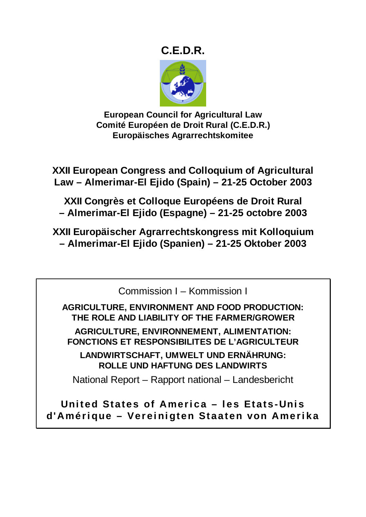# **C.E.D.R.**



**European Council for Agricultural Law Comité Européen de Droit Rural (C.E.D.R.) Europäisches Agrarrechtskomitee** 

**XXII European Congress and Colloquium of Agricultural Law – Almerimar-El Ejido (Spain) – 21-25 October 2003** 

**XXII Congrès et Colloque Européens de Droit Rural – Almerimar-El Ejido (Espagne) – 21-25 octobre 2003** 

**XXII Europäischer Agrarrechtskongress mit Kolloquium – Almerimar-El Ejido (Spanien) – 21-25 Oktober 2003** 

Commission I – Kommission I

**AGRICULTURE, ENVIRONMENT AND FOOD PRODUCTION: THE ROLE AND LIABILITY OF THE FARMER/GROWER AGRICULTURE, ENVIRONNEMENT, ALIMENTATION: FONCTIONS ET RESPONSIBILITES DE L'AGRICULTEUR** 

**LANDWIRTSCHAFT, UMWELT UND ERNÄHRUNG: ROLLE UND HAFTUNG DES LANDWIRTS** 

National Report – Rapport national – Landesbericht

**United States of America – les Etats-Unis d'Amérique – Vereinigten Staaten von Amerika**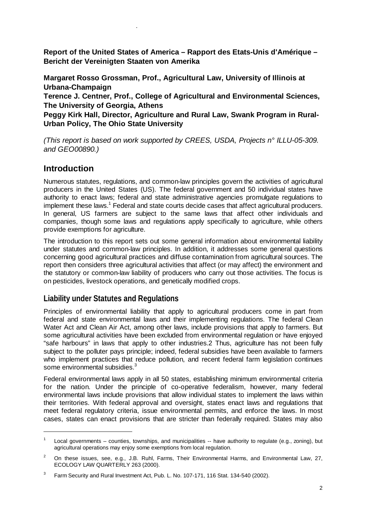**Report of the United States of America – Rapport des Etats-Unis d'Amérique – Bericht der Vereinigten Staaten von Amerika** 

**Margaret Rosso Grossman, Prof., Agricultural Law, University of Illinois at Urbana-Champaign** 

**Terence J. Centner, Prof., College of Agricultural and Environmental Sciences, The University of Georgia, Athens** 

**Peggy Kirk Hall, Director, Agriculture and Rural Law, Swank Program in Rural-Urban Policy, The Ohio State University** 

*(This report is based on work supported by CREES, USDA, Projects n° ILLU-05-309. and GEO00890.)*

# **Introduction**

.

Numerous statutes, regulations, and common-law principles govern the activities of agricultural producers in the United States (US). The federal government and 50 individual states have authority to enact laws; federal and state administrative agencies promulgate regulations to implement these laws.<sup>1</sup> Federal and state courts decide cases that affect agricultural producers. In general, US farmers are subject to the same laws that affect other individuals and companies, though some laws and regulations apply specifically to agriculture, while others provide exemptions for agriculture.

The introduction to this report sets out some general information about environmental liability under statutes and common-law principles. In addition, it addresses some general questions concerning good agricultural practices and diffuse contamination from agricultural sources. The report then considers three agricultural activities that affect (or may affect) the environment and the statutory or common-law liability of producers who carry out those activities. The focus is on pesticides, livestock operations, and genetically modified crops.

# **Liability under Statutes and Regulations**

Principles of environmental liability that apply to agricultural producers come in part from federal and state environmental laws and their implementing regulations. The federal Clean Water Act and Clean Air Act, among other laws, include provisions that apply to farmers. But some agricultural activities have been excluded from environmental regulation or have enjoyed "safe harbours" in laws that apply to other industries.2 Thus, agriculture has not been fully subject to the polluter pays principle; indeed, federal subsidies have been available to farmers who implement practices that reduce pollution, and recent federal farm legislation continues some environmental subsidies.<sup>3</sup>

Federal environmental laws apply in all 50 states, establishing minimum environmental criteria for the nation. Under the principle of co-operative federalism, however, many federal environmental laws include provisions that allow individual states to implement the laws within their territories. With federal approval and oversight, states enact laws and regulations that meet federal regulatory criteria, issue environmental permits, and enforce the laws. In most cases, states can enact provisions that are stricter than federally required. States may also

<sup>1</sup> Local governments – counties, townships, and municipalities -- have authority to regulate (e.g., zoning), but agricultural operations may enjoy some exemptions from local regulation.

<sup>2</sup> On these issues, see, e.g., J.B. Ruhl, Farms, Their Environmental Harms, and Environmental Law, 27, ECOLOGY LAW QUARTERLY 263 (2000).

<sup>3</sup> Farm Security and Rural Investment Act, Pub. L. No. 107-171, 116 Stat. 134-540 (2002).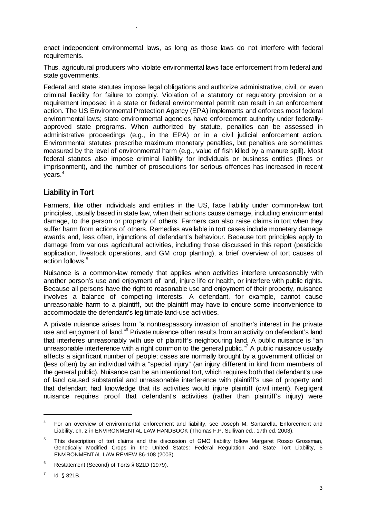enact independent environmental laws, as long as those laws do not interfere with federal requirements.

Thus, agricultural producers who violate environmental laws face enforcement from federal and state governments.

Federal and state statutes impose legal obligations and authorize administrative, civil, or even criminal liability for failure to comply. Violation of a statutory or regulatory provision or a requirement imposed in a state or federal environmental permit can result in an enforcement action. The US Environmental Protection Agency (EPA) implements and enforces most federal environmental laws; state environmental agencies have enforcement authority under federallyapproved state programs. When authorized by statute, penalties can be assessed in administrative proceedings (e.g., in the EPA) or in a civil judicial enforcement action. Environmental statutes prescribe maximum monetary penalties, but penalties are sometimes measured by the level of environmental harm (e.g., value of fish killed by a manure spill). Most federal statutes also impose criminal liability for individuals or business entities (fines or imprisonment), and the number of prosecutions for serious offences has increased in recent years.4

# **Liability in Tort**

.

Farmers, like other individuals and entities in the US, face liability under common-law tort principles, usually based in state law, when their actions cause damage, including environmental damage, to the person or property of others. Farmers can also raise claims in tort when they suffer harm from actions of others. Remedies available in tort cases include monetary damage awards and, less often, injunctions of defendant's behaviour. Because tort principles apply to damage from various agricultural activities, including those discussed in this report (pesticide application, livestock operations, and GM crop planting), a brief overview of tort causes of action follows.5

Nuisance is a common-law remedy that applies when activities interfere unreasonably with another person's use and enjoyment of land, injure life or health, or interfere with public rights. Because all persons have the right to reasonable use and enjoyment of their property, nuisance involves a balance of competing interests. A defendant, for example, cannot cause unreasonable harm to a plaintiff, but the plaintiff may have to endure some inconvenience to accommodate the defendant's legitimate land-use activities.

A private nuisance arises from "a nontrespassory invasion of another's interest in the private use and enjoyment of land."<sup>6</sup> Private nuisance often results from an activity on defendant's land that interferes unreasonably with use of plaintiff's neighbouring land. A public nuisance is "an unreasonable interference with a right common to the general public."<sup>7</sup> A public nuisance usually affects a significant number of people; cases are normally brought by a government official or (less often) by an individual with a "special injury" (an injury different in kind from members of the general public). Nuisance can be an intentional tort, which requires both that defendant's use of land caused substantial and unreasonable interference with plaintiff's use of property and that defendant had knowledge that its activities would injure plaintiff (civil intent). Negligent nuisance requires proof that defendant's activities (rather than plaintiff's injury) were

 $\overline{a}$ 

<sup>4</sup> For an overview of environmental enforcement and liability, see Joseph M. Santarella, Enforcement and Liability, ch. 2 in ENVIRONMENTAL LAW HANDBOOK (Thomas F.P. Sullivan ed., 17th ed. 2003).

<sup>5</sup> This description of tort claims and the discussion of GMO liability follow Margaret Rosso Grossman, Genetically Modified Crops in the United States: Federal Regulation and State Tort Liability, 5 ENVIRONMENTAL LAW REVIEW 86-108 (2003).

<sup>6</sup> Restatement (Second) of Torts § 821D (1979).

<sup>7</sup> Id. § 821B.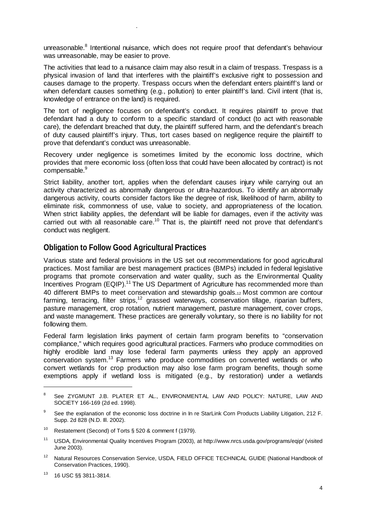unreasonable.<sup>8</sup> Intentional nuisance, which does not require proof that defendant's behaviour was unreasonable, may be easier to prove.

The activities that lead to a nuisance claim may also result in a claim of trespass. Trespass is a physical invasion of land that interferes with the plaintiff's exclusive right to possession and causes damage to the property. Trespass occurs when the defendant enters plaintiff's land or when defendant causes something (e.g., pollution) to enter plaintiff's land. Civil intent (that is, knowledge of entrance on the land) is required.

The tort of negligence focuses on defendant's conduct. It requires plaintiff to prove that defendant had a duty to conform to a specific standard of conduct (to act with reasonable care), the defendant breached that duty, the plaintiff suffered harm, and the defendant's breach of duty caused plaintiff's injury. Thus, tort cases based on negligence require the plaintiff to prove that defendant's conduct was unreasonable.

Recovery under negligence is sometimes limited by the economic loss doctrine, which provides that mere economic loss (often loss that could have been allocated by contract) is not compensable.<sup>9</sup>

Strict liability, another tort, applies when the defendant causes injury while carrying out an activity characterized as abnormally dangerous or ultra-hazardous. To identify an abnormally dangerous activity, courts consider factors like the degree of risk, likelihood of harm, ability to eliminate risk, commonness of use, value to society, and appropriateness of the location. When strict liability applies, the defendant will be liable for damages, even if the activity was carried out with all reasonable care.<sup>10</sup> That is, the plaintiff need not prove that defendant's conduct was negligent.

# **Obligation to Follow Good Agricultural Practices**

.

Various state and federal provisions in the US set out recommendations for good agricultural practices. Most familiar are best management practices (BMPs) included in federal legislative programs that promote conservation and water quality, such as the Environmental Quality Incentives Program (EQIP).<sup>11</sup> The US Department of Agriculture has recommended more than 40 different BMPs to meet conservation and stewardship goals.12 Most common are contour farming, terracing, filter strips,<sup>12</sup> grassed waterways, conservation tillage, riparian buffers, pasture management, crop rotation, nutrient management, pasture management, cover crops, and waste management. These practices are generally voluntary, so there is no liability for not following them.

Federal farm legislation links payment of certain farm program benefits to "conservation compliance," which requires good agricultural practices. Farmers who produce commodities on highly erodible land may lose federal farm payments unless they apply an approved conservation system.13 Farmers who produce commodities on converted wetlands or who convert wetlands for crop production may also lose farm program benefits, though some exemptions apply if wetland loss is mitigated (e.g., by restoration) under a wetlands

 $\overline{a}$ 

<sup>8</sup> See ZYGMUNT J.B. PLATER ET AL., ENVIRONMENTAL LAW AND POLICY: NATURE, LAW AND SOCIETY 166-169 (2d ed. 1998).

<sup>9</sup> See the explanation of the economic loss doctrine in In re StarLink Corn Products Liability Litigation, 212 F. Supp. 2d 828 (N.D. Ill. 2002).

<sup>&</sup>lt;sup>10</sup> Restatement (Second) of Torts § 520 & comment f (1979).

<sup>11</sup> USDA, Environmental Quality Incentives Program (2003), at http://www.nrcs.usda.gov/programs/eqip/ (visited June 2003).

<sup>&</sup>lt;sup>12</sup> Natural Resources Conservation Service, USDA, FIELD OFFICE TECHNICAL GUIDE (National Handbook of Conservation Practices, 1990).

<sup>13 16</sup> USC §§ 3811-3814.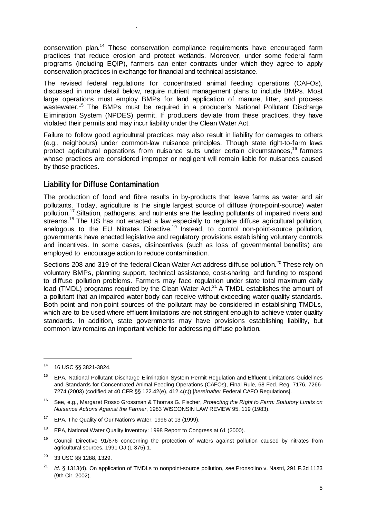conservation plan.14 These conservation compliance requirements have encouraged farm practices that reduce erosion and protect wetlands. Moreover, under some federal farm programs (including EQIP), farmers can enter contracts under which they agree to apply conservation practices in exchange for financial and technical assistance.

The revised federal regulations for concentrated animal feeding operations (CAFOs), discussed in more detail below, require nutrient management plans to include BMPs. Most large operations must employ BMPs for land application of manure, litter, and process wastewater.<sup>15</sup> The BMPs must be required in a producer's National Pollutant Discharge Elimination System (NPDES) permit. If producers deviate from these practices, they have violated their permits and may incur liability under the Clean Water Act.

Failure to follow good agricultural practices may also result in liability for damages to others (e.g., neighbours) under common-law nuisance principles. Though state right-to-farm laws protect agricultural operations from nuisance suits under certain circumstances,<sup>16</sup> farmers whose practices are considered improper or negligent will remain liable for nuisances caused by those practices.

# **Liability for Diffuse Contamination**

.

The production of food and fibre results in by-products that leave farms as water and air pollutants. Today, agriculture is the single largest source of diffuse (non-point-source) water pollution.<sup>17</sup> Siltation, pathogens, and nutrients are the leading pollutants of impaired rivers and streams.<sup>18</sup> The US has not enacted a law especially to regulate diffuse agricultural pollution, analogous to the EU Nitrates Directive.<sup>19</sup> Instead, to control non-point-source pollution, governments have enacted legislative and regulatory provisions establishing voluntary controls and incentives. In some cases, disincentives (such as loss of governmental benefits) are employed to encourage action to reduce contamination.

Sections 208 and 319 of the federal Clean Water Act address diffuse pollution.<sup>20</sup> These rely on voluntary BMPs, planning support, technical assistance, cost-sharing, and funding to respond to diffuse pollution problems. Farmers may face regulation under state total maximum daily load (TMDL) programs required by the Clean Water  $Act.^{21}$  A TMDL establishes the amount of a pollutant that an impaired water body can receive without exceeding water quality standards. Both point and non-point sources of the pollutant may be considered in establishing TMDLs, which are to be used where effluent limitations are not stringent enough to achieve water quality standards. In addition, state governments may have provisions establishing liability, but common law remains an important vehicle for addressing diffuse pollution.

<sup>14 16</sup> USC §§ 3821-3824.

<sup>&</sup>lt;sup>15</sup> EPA, National Pollutant Discharge Elimination System Permit Regulation and Effluent Limitations Guidelines and Standards for Concentrated Animal Feeding Operations (CAFOs), Final Rule, 68 Fed. Reg. 7176, 7266- 7274 (2003) (codified at 40 CFR §§ 122.42(e), 412.4(c)) [*hereinafter* Federal CAFO Regulations].

<sup>16</sup> See, e.g., Margaret Rosso Grossman & Thomas G. Fischer, *Protecting the Right to Farm: Statutory Limits on Nuisance Actions Against the Farmer*, 1983 WISCONSIN LAW REVIEW 95, 119 (1983).

<sup>&</sup>lt;sup>17</sup> EPA, The Quality of Our Nation's Water: 1996 at 13 (1999).

<sup>&</sup>lt;sup>18</sup> EPA, National Water Quality Inventory: 1998 Report to Congress at 61 (2000).

<sup>&</sup>lt;sup>19</sup> Council Directive 91/676 concerning the protection of waters against pollution caused by nitrates from agricultural sources, 1991 OJ (L 375) 1.

<sup>20 33</sup> USC §§ 1288, 1329.

<sup>&</sup>lt;sup>21</sup> *Id.* § 1313(d). On application of TMDLs to nonpoint-source pollution, see Pronsolino v. Nastri, 291 F.3d 1123 (9th Cir. 2002).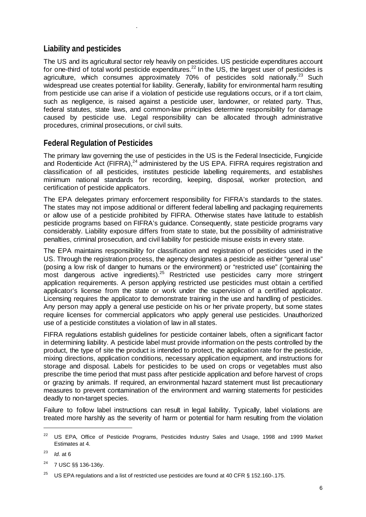# **Liability and pesticides**

.

The US and its agricultural sector rely heavily on pesticides. US pesticide expenditures account for one-third of total world pesticide expenditures.<sup>22</sup> In the US, the largest user of pesticides is agriculture, which consumes approximately 70% of pesticides sold nationally.<sup>23</sup> Such widespread use creates potential for liability. Generally, liability for environmental harm resulting from pesticide use can arise if a violation of pesticide use regulations occurs, or if a tort claim, such as negligence, is raised against a pesticide user, landowner, or related party. Thus, federal statutes, state laws, and common-law principles determine responsibility for damage caused by pesticide use. Legal responsibility can be allocated through administrative procedures, criminal prosecutions, or civil suits.

# **Federal Regulation of Pesticides**

The primary law governing the use of pesticides in the US is the Federal Insecticide, Fungicide and Rodenticide Act (FIFRA), $^{24}$  administered by the US EPA. FIFRA requires registration and classification of all pesticides, institutes pesticide labelling requirements, and establishes minimum national standards for recording, keeping, disposal, worker protection, and certification of pesticide applicators.

The EPA delegates primary enforcement responsibility for FIFRA's standards to the states. The states may not impose additional or different federal labelling and packaging requirements or allow use of a pesticide prohibited by FIFRA. Otherwise states have latitude to establish pesticide programs based on FIFRA's guidance. Consequently, state pesticide programs vary considerably. Liability exposure differs from state to state, but the possibility of administrative penalties, criminal prosecution, and civil liability for pesticide misuse exists in every state.

The EPA maintains responsibility for classification and registration of pesticides used in the US. Through the registration process, the agency designates a pesticide as either "general use" (posing a low risk of danger to humans or the environment) or "restricted use" (containing the most dangerous active ingredients).<sup>25</sup> Restricted use pesticides carry more stringent application requirements. A person applying restricted use pesticides must obtain a certified applicator's license from the state or work under the supervision of a certified applicator. Licensing requires the applicator to demonstrate training in the use and handling of pesticides. Any person may apply a general use pesticide on his or her private property, but some states require licenses for commercial applicators who apply general use pesticides. Unauthorized use of a pesticide constitutes a violation of law in all states.

FIFRA regulations establish guidelines for pesticide container labels, often a significant factor in determining liability. A pesticide label must provide information on the pests controlled by the product, the type of site the product is intended to protect, the application rate for the pesticide, mixing directions, application conditions, necessary application equipment, and instructions for storage and disposal. Labels for pesticides to be used on crops or vegetables must also prescribe the time period that must pass after pesticide application and before harvest of crops or grazing by animals. If required, an environmental hazard statement must list precautionary measures to prevent contamination of the environment and warning statements for pesticides deadly to non-target species.

Failure to follow label instructions can result in legal liability. Typically, label violations are treated more harshly as the severity of harm or potential for harm resulting from the violation

<sup>&</sup>lt;sup>22</sup> US EPA, Office of Pesticide Programs, Pesticides Industry Sales and Usage, 1998 and 1999 Market Estimates at 4.

 $^{23}$  *Id.* at 6

<sup>24 7</sup> USC §§ 136-136y.

US EPA regulations and a list of restricted use pesticides are found at 40 CFR § 152.160-.175.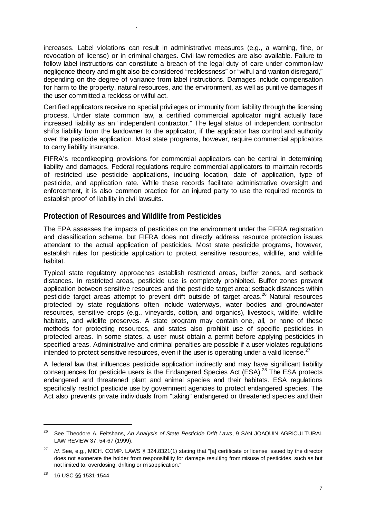increases. Label violations can result in administrative measures (e.g., a warning, fine, or revocation of license) or in criminal charges. Civil law remedies are also available. Failure to follow label instructions can constitute a breach of the legal duty of care under common-law negligence theory and might also be considered "recklessness" or "wilful and wanton disregard," depending on the degree of variance from label instructions. Damages include compensation for harm to the property, natural resources, and the environment, as well as punitive damages if the user committed a reckless or wilful act.

Certified applicators receive no special privileges or immunity from liability through the licensing process. Under state common law, a certified commercial applicator might actually face increased liability as an "independent contractor." The legal status of independent contractor shifts liability from the landowner to the applicator, if the applicator has control and authority over the pesticide application. Most state programs, however, require commercial applicators to carry liability insurance.

FIFRA's recordkeeping provisions for commercial applicators can be central in determining liability and damages. Federal regulations require commercial applicators to maintain records of restricted use pesticide applications, including location, date of application, type of pesticide, and application rate. While these records facilitate administrative oversight and enforcement, it is also common practice for an injured party to use the required records to establish proof of liability in civil lawsuits.

## **Protection of Resources and Wildlife from Pesticides**

.

The EPA assesses the impacts of pesticides on the environment under the FIFRA registration and classification scheme, but FIFRA does not directly address resource protection issues attendant to the actual application of pesticides. Most state pesticide programs, however, establish rules for pesticide application to protect sensitive resources, wildlife, and wildlife habitat.

Typical state regulatory approaches establish restricted areas, buffer zones, and setback distances. In restricted areas, pesticide use is completely prohibited. Buffer zones prevent application between sensitive resources and the pesticide target area; setback distances within pesticide target areas attempt to prevent drift outside of target areas.<sup>26</sup> Natural resources protected by state regulations often include waterways, water bodies and groundwater resources, sensitive crops (e.g., vineyards, cotton, and organics), livestock, wildlife, wildlife habitats, and wildlife preserves. A state program may contain one, all, or none of these methods for protecting resources, and states also prohibit use of specific pesticides in protected areas. In some states, a user must obtain a permit before applying pesticides in specified areas. Administrative and criminal penalties are possible if a user violates regulations intended to protect sensitive resources, even if the user is operating under a valid license. $27$ 

A federal law that influences pesticide application indirectly and may have significant liability consequences for pesticide users is the Endangered Species Act (ESA).<sup>28</sup> The ESA protects endangered and threatened plant and animal species and their habitats. ESA regulations specifically restrict pesticide use by government agencies to protect endangered species. The Act also prevents private individuals from "taking" endangered or threatened species and their

<sup>26</sup> See Theodore A. Feitshans, *An Analysis of State Pesticide Drift Laws*, 9 SAN JOAQUIN AGRICULTURAL LAW REVIEW 37, 54-67 (1999).

<sup>27</sup> *Id.* See, e.g., MICH. COMP. LAWS § 324.8321(1) stating that "[a] certificate or license issued by the director does not exonerate the holder from responsibility for damage resulting from misuse of pesticides, such as but not limited to, overdosing, drifting or misapplication."

<sup>28 16</sup> USC §§ 1531-1544.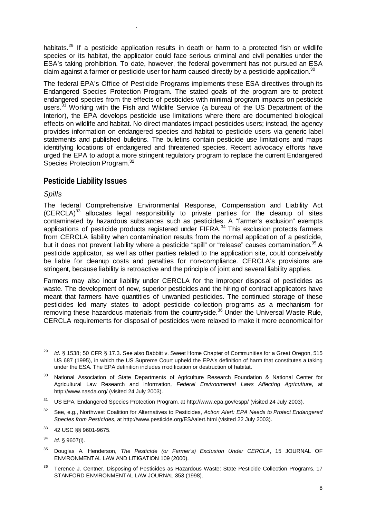habitats.<sup>29</sup> If a pesticide application results in death or harm to a protected fish or wildlife species or its habitat, the applicator could face serious criminal and civil penalties under the ESA's taking prohibition. To date, however, the federal government has not pursued an ESA claim against a farmer or pesticide user for harm caused directly by a pesticide application.<sup>30</sup>

The federal EPA's Office of Pesticide Programs implements these ESA directives through its Endangered Species Protection Program. The stated goals of the program are to protect endangered species from the effects of pesticides with minimal program impacts on pesticide users.<sup>31</sup> Working with the Fish and Wildlife Service (a bureau of the US Department of the Interior), the EPA develops pesticide use limitations where there are documented biological effects on wildlife and habitat. No direct mandates impact pesticides users; instead, the agency provides information on endangered species and habitat to pesticide users via generic label statements and published bulletins. The bulletins contain pesticide use limitations and maps identifying locations of endangered and threatened species. Recent advocacy efforts have urged the EPA to adopt a more stringent regulatory program to replace the current Endangered Species Protection Program.<sup>32</sup>

# **Pesticide Liability Issues**

.

## *Spills*

 $\overline{a}$ 

The federal Comprehensive Environmental Response, Compensation and Liability Act  $(CERCLA)^{33}$  allocates legal responsibility to private parties for the cleanup of sites contaminated by hazardous substances such as pesticides. A "farmer's exclusion" exempts applications of pesticide products registered under  $FIFRA<sup>34</sup>$ . This exclusion protects farmers from CERCLA liability when contamination results from the normal application of a pesticide, but it does not prevent liability where a pesticide "spill" or "release" causes contamination.<sup>35</sup> A pesticide applicator, as well as other parties related to the application site, could conceivably be liable for cleanup costs and penalties for non-compliance. CERCLA's provisions are stringent, because liability is retroactive and the principle of joint and several liability applies.

Farmers may also incur liability under CERCLA for the improper disposal of pesticides as waste. The development of new, superior pesticides and the hiring of contract applicators have meant that farmers have quantities of unwanted pesticides. The continued storage of these pesticides led many states to adopt pesticide collection programs as a mechanism for removing these hazardous materials from the countryside.<sup>36</sup> Under the Universal Waste Rule, CERCLA requirements for disposal of pesticides were relaxed to make it more economical for

<sup>&</sup>lt;sup>29</sup> *Id.* § 1538; 50 CFR § 17.3. See also Babbitt v. Sweet Home Chapter of Communities for a Great Oregon, 515 US 687 (1995), in which the US Supreme Court upheld the EPA's definition of harm that constitutes a taking under the ESA. The EPA definition includes modification or destruction of habitat.

<sup>&</sup>lt;sup>30</sup> National Association of State Departments of Agriculture Research Foundation & National Center for Agricultural Law Research and Information, *Federal Environmental Laws Affecting Agriculture*, at http://www.nasda.org/ (visited 24 July 2003).

<sup>31</sup> US EPA, Endangered Species Protection Program, at http://www.epa.gov/espp/ (visited 24 July 2003).

<sup>32</sup> See, e.g., Northwest Coalition for Alternatives to Pesticides, *Action Alert: EPA Needs to Protect Endangered Species from Pesticides*, at http://www.pesticide.org/ESAalert.html (visited 22 July 2003).

<sup>33 42</sup> USC §§ 9601-9675.

<sup>34</sup> *Id*. § 9607(i).

<sup>35</sup> Douglas A. Henderson, *The Pesticide (or Farmer's) Exclusion Under CERCLA*, 15 JOURNAL OF ENVIRONMENTAL LAW AND LITIGATION 109 (2000).

<sup>&</sup>lt;sup>36</sup> Terence J. Centner, Disposing of Pesticides as Hazardous Waste: State Pesticide Collection Programs, 17 STANFORD ENVIRONMENTAL LAW JOURNAL 353 (1998).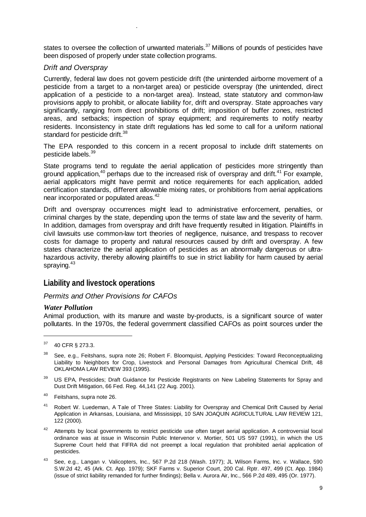states to oversee the collection of unwanted materials.<sup>37</sup> Millions of pounds of pesticides have been disposed of properly under state collection programs.

## *Drift and Overspray*

.

Currently, federal law does not govern pesticide drift (the unintended airborne movement of a pesticide from a target to a non-target area) or pesticide overspray (the unintended, direct application of a pesticide to a non-target area). Instead, state statutory and common-law provisions apply to prohibit, or allocate liability for, drift and overspray. State approaches vary significantly, ranging from direct prohibitions of drift; imposition of buffer zones, restricted areas, and setbacks; inspection of spray equipment; and requirements to notify nearby residents. Inconsistency in state drift regulations has led some to call for a uniform national standard for pesticide drift.<sup>38</sup>

The EPA responded to this concern in a recent proposal to include drift statements on pesticide labels.<sup>39</sup>

State programs tend to regulate the aerial application of pesticides more stringently than ground application,  $40$  perhaps due to the increased risk of overspray and drift.  $41$  For example, aerial applicators might have permit and notice requirements for each application, added certification standards, different allowable mixing rates, or prohibitions from aerial applications near incorporated or populated areas.<sup>42</sup>

Drift and overspray occurrences might lead to administrative enforcement, penalties, or criminal charges by the state, depending upon the terms of state law and the severity of harm. In addition, damages from overspray and drift have frequently resulted in litigation. Plaintiffs in civil lawsuits use common-law tort theories of negligence, nuisance, and trespass to recover costs for damage to property and natural resources caused by drift and overspray. A few states characterize the aerial application of pesticides as an abnormally dangerous or ultrahazardous activity, thereby allowing plaintiffs to sue in strict liability for harm caused by aerial spraying.<sup>43</sup>

## **Liability and livestock operations**

## *Permits and Other Provisions for CAFOs*

#### *Water Pollution*

Animal production, with its manure and waste by-products, is a significant source of water pollutants. In the 1970s, the federal government classified CAFOs as point sources under the

- <sup>39</sup> US EPA, Pesticides; Draft Guidance for Pesticide Registrants on New Labeling Statements for Spray and Dust Drift Mitigation, 66 Fed. Reg. 44,141 (22 Aug. 2001).
- 40 Feitshans, supra note 26.
- 41 Robert W. Luedeman, A Tale of Three States: Liability for Overspray and Chemical Drift Caused by Aerial Application in Arkansas, Louisiana, and Mississippi, 10 SAN JOAQUIN AGRICULTURAL LAW REVIEW 121, 122 (2000).
- <sup>42</sup> Attempts by local governments to restrict pesticide use often target aerial application. A controversial local ordinance was at issue in Wisconsin Public Intervenor v. Mortier, 501 US 597 (1991), in which the US Supreme Court held that FIFRA did not preempt a local regulation that prohibited aerial application of pesticides.
- 43 See, e.g., Langan v. Valicopters, Inc., 567 P.2d 218 (Wash. 1977); JL Wilson Farms, Inc. v. Wallace, 590 S.W.2d 42, 45 (Ark. Ct. App. 1979); SKF Farms v. Superior Court, 200 Cal. Rptr. 497, 499 (Ct. App. 1984) (issue of strict liability remanded for further findings); Bella v. Aurora Air, Inc., 566 P.2d 489, 495 (Or. 1977).

<sup>37 40</sup> CFR § 273.3.

<sup>&</sup>lt;sup>38</sup> See, e.g., Feitshans, supra note 26; Robert F. Bloomquist, Applying Pesticides: Toward Reconceptualizing Liability to Neighbors for Crop, Livestock and Personal Damages from Agricultural Chemical Drift, 48 OKLAHOMA LAW REVIEW 393 (1995).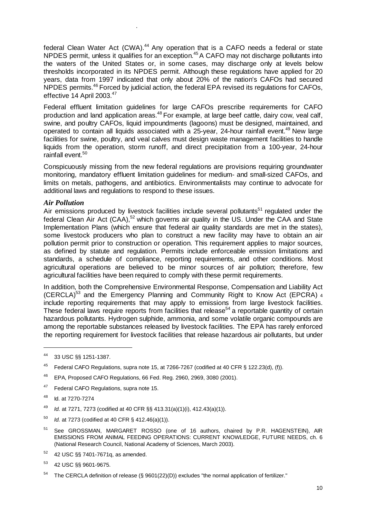federal Clean Water Act (CWA).<sup>44</sup> Any operation that is a CAFO needs a federal or state NPDES permit, unless it qualifies for an exception.<sup>45</sup> A CAFO may not discharge pollutants into the waters of the United States or, in some cases, may discharge only at levels below thresholds incorporated in its NPDES permit. Although these regulations have applied for 20 years, data from 1997 indicated that only about 20% of the nation's CAFOs had secured NPDES permits.<sup>46</sup> Forced by judicial action, the federal EPA revised its regulations for CAFOs, effective 14 April 2003.<sup>47</sup>

Federal effluent limitation guidelines for large CAFOs prescribe requirements for CAFO production and land application areas.<sup>48</sup> For example, at large beef cattle, dairy cow, yeal calf, swine, and poultry CAFOs, liquid impoundments (lagoons) must be designed, maintained, and operated to contain all liquids associated with a 25-year, 24-hour rainfall event.<sup>49</sup> New large facilities for swine, poultry, and veal calves must design waste management facilities to handle liquids from the operation, storm runoff, and direct precipitation from a 100-year, 24-hour rainfall event.<sup>50</sup>

Conspicuously missing from the new federal regulations are provisions requiring groundwater monitoring, mandatory effluent limitation guidelines for medium- and small-sized CAFOs, and limits on metals, pathogens, and antibiotics. Environmentalists may continue to advocate for additional laws and regulations to respond to these issues.

#### *Air Pollution*

.

Air emissions produced by livestock facilities include several pollutants<sup>51</sup> regulated under the federal Clean Air Act (CAA),<sup>52</sup> which governs air quality in the US. Under the CAA and State Implementation Plans (which ensure that federal air quality standards are met in the states), some livestock producers who plan to construct a new facility may have to obtain an air pollution permit prior to construction or operation. This requirement applies to major sources, as defined by statute and regulation. Permits include enforceable emission limitations and standards, a schedule of compliance, reporting requirements, and other conditions. Most agricultural operations are believed to be minor sources of air pollution; therefore, few agricultural facilities have been required to comply with these permit requirements.

In addition, both the Comprehensive Environmental Response, Compensation and Liability Act (CERCLA)53 and the Emergency Planning and Community Right to Know Act (EPCRA) 4 include reporting requirements that may apply to emissions from large livestock facilities. These federal laws require reports from facilities that release<sup>54</sup> a reportable quantity of certain hazardous pollutants. Hydrogen sulphide, ammonia, and some volatile organic compounds are among the reportable substances released by livestock facilities. The EPA has rarely enforced the reporting requirement for livestock facilities that release hazardous air pollutants, but under

 $\overline{a}$ 

<sup>47</sup> Federal CAFO Regulations, supra note 15.

- 50 *Id.* at 7273 (codified at 40 CFR § 412.46(a)(1)).
- <sup>51</sup> See GROSSMAN, MARGARET ROSSO (one of 16 authors, chaired by P.R. HAGENSTEIN), AIR EMISSIONS FROM ANIMAL FEEDING OPERATIONS: CURRENT KNOWLEDGE, FUTURE NEEDS, ch. 6 (National Research Council, National Academy of Sciences, March 2003).
- $52$  42 USC §§ 7401-7671q, as amended.
- 53 42 USC §§ 9601-9675.

<sup>44 33</sup> USC §§ 1251-1387.

<sup>&</sup>lt;sup>45</sup> Federal CAFO Regulations, supra note 15, at 7266-7267 (codified at 40 CFR § 122.23(d), (f)).

<sup>46</sup> EPA, Proposed CAFO Regulations, 66 Fed. Reg. 2960, 2969, 3080 (2001).

<sup>48</sup> Id. at 7270-7274

<sup>49</sup> *Id.* at 7271, 7273 (codified at 40 CFR §§ 413.31(a)(1)(i), 412.43(a)(1)).

The CERCLA definition of release (§ 9601(22)(D)) excludes "the normal application of fertilizer."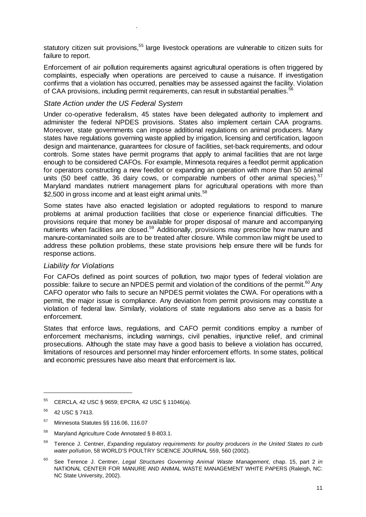statutory citizen suit provisions,<sup>55</sup> large livestock operations are vulnerable to citizen suits for failure to report.

Enforcement of air pollution requirements against agricultural operations is often triggered by complaints, especially when operations are perceived to cause a nuisance. If investigation confirms that a violation has occurred, penalties may be assessed against the facility. Violation of CAA provisions, including permit requirements, can result in substantial penalties.<sup>56</sup>

#### *State Action under the US Federal System*

.

Under co-operative federalism, 45 states have been delegated authority to implement and administer the federal NPDES provisions. States also implement certain CAA programs. Moreover, state governments can impose additional regulations on animal producers. Many states have regulations governing waste applied by irrigation, licensing and certification, lagoon design and maintenance, guarantees for closure of facilities, set-back requirements, and odour controls. Some states have permit programs that apply to animal facilities that are not large enough to be considered CAFOs. For example, Minnesota requires a feedlot permit application for operators constructing a new feedlot or expanding an operation with more than 50 animal units (50 beef cattle,  $36$  dairy cows, or comparable numbers of other animal species).<sup>57</sup> Maryland mandates nutrient management plans for agricultural operations with more than \$2,500 in gross income and at least eight animal units.<sup>58</sup>

Some states have also enacted legislation or adopted regulations to respond to manure problems at animal production facilities that close or experience financial difficulties. The provisions require that money be available for proper disposal of manure and accompanying nutrients when facilities are closed.<sup>59</sup> Additionally, provisions may prescribe how manure and manure-contaminated soils are to be treated after closure. While common law might be used to address these pollution problems, these state provisions help ensure there will be funds for response actions.

## *Liability for Violations*

For CAFOs defined as point sources of pollution, two major types of federal violation are possible: failure to secure an NPDES permit and violation of the conditions of the permit.<sup>60</sup> Any CAFO operator who fails to secure an NPDES permit violates the CWA. For operations with a permit, the major issue is compliance. Any deviation from permit provisions may constitute a violation of federal law. Similarly, violations of state regulations also serve as a basis for enforcement.

States that enforce laws, regulations, and CAFO permit conditions employ a number of enforcement mechanisms, including warnings, civil penalties, injunctive relief, and criminal prosecutions. Although the state may have a good basis to believe a violation has occurred, limitations of resources and personnel may hinder enforcement efforts. In some states, political and economic pressures have also meant that enforcement is lax.

<sup>55</sup> CERCLA, 42 USC § 9659; EPCRA, 42 USC § 11046(a).

<sup>56 42</sup> USC § 7413.

<sup>57</sup> Minnesota Statutes §§ 116.06, 116.07

<sup>58</sup> Maryland Agriculture Code Annotated § 8-803.1.

<sup>59</sup> Terence J. Centner, *Expanding regulatory requirements for poultry producers in the United States to curb water pollution*, 58 WORLD'S POULTRY SCIENCE JOURNAL 559, 560 (2002).

<sup>60</sup> See Terence J. Centner, *Legal Structures Governing Animal Waste Management*, chap. 15, part 2 *in*  NATIONAL CENTER FOR MANURE AND ANIMAL WASTE MANAGEMENT WHITE PAPERS (Raleigh, NC: NC State University, 2002).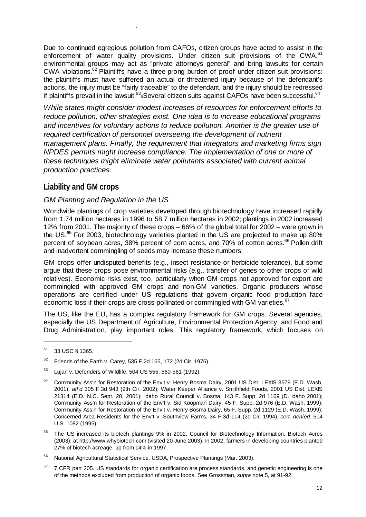Due to continued egregious pollution from CAFOs, citizen groups have acted to assist in the enforcement of water quality provisions. Under citizen suit provisions of the CWA,<sup>61</sup> environmental groups may act as "private attorneys general" and bring lawsuits for certain  $CWA$  violations.<sup>62</sup> Plaintiffs have a three-prong burden of proof under citizen suit provisions: the plaintiffs must have suffered an actual or threatened injury because of the defendant's actions, the injury must be "fairly traceable" to the defendant, and the injury should be redressed if plaintiffs prevail in the lawsuit.<sup>63</sup><sub>6</sub>Several citizen suits against CAFOs have been successful.<sup>64</sup>

*While states might consider modest increases of resources for enforcement efforts to reduce pollution, other strategies exist. One idea is to increase educational programs and incentives for voluntary actions to reduce pollution. Another is the greater use of required certification of personnel overseeing the development of nutrient management plans. Finally, the requirement that integrators and marketing firms sign NPDES permits might increase compliance. The implementation of one or more of these techniques might eliminate water pollutants associated with current animal production practices.* 

# **Liability and GM crops**

.

## *GM Planting and Regulation in the US*

Worldwide plantings of crop varieties developed through biotechnology have increased rapidly from 1.74 million hectares in 1996 to 58.7 million hectares in 2002; plantings in 2002 increased 12% from 2001. The majority of these crops – 66% of the global total for 2002 – were grown in the US.<sup>65</sup> For 2003, biotechnology varieties planted in the US are projected to make up 80% percent of soybean acres, 38% percent of corn acres, and 70% of cotton acres.<sup>66</sup> Pollen drift and inadvertent commingling of seeds may increase these numbers.

GM crops offer undisputed benefits (e.g., insect resistance or herbicide tolerance), but some argue that these crops pose environmental risks (e.g., transfer of genes to other crops or wild relatives). Economic risks exist, too, particularly when GM crops not approved for export are commingled with approved GM crops and non-GM varieties. Organic producers whose operations are certified under US regulations that govern organic food production face economic loss if their crops are cross-pollinated or commingled with GM varieties.<sup>67</sup>

The US, like the EU, has a complex regulatory framework for GM crops. Several agencies, especially the US Department of Agriculture, Environmental Protection Agency, and Food and Drug Administration, play important roles. This regulatory framework, which focuses on

<sup>61 33</sup> USC § 1365.

 $62$  Friends of the Earth v. Carey, 535 F.2d 165, 172 (2d Cir. 1976).

 $63$  Lujan v. Defenders of Wildlife, 504 US 555, 560-561 (1992).

<sup>&</sup>lt;sup>64</sup> Community Ass'n for Restoration of the Env't v. Henry Bosma Dairy, 2001 US Dist. LEXIS 3579 (E.D. Wash. 2001), *aff'd* 305 F.3d 943 (9th Cir. 2002); Water Keeper Alliance v. Smithfield Foods, 2001 US Dist. LEXIS 21314 (E.D. N.C. Sept. 20, 2001); Idaho Rural Council v. Bosma, 143 F. Supp. 2d 1169 (D. Idaho 2001); Community Ass'n for Restoration of the Env't v. Sid Koopman Dairy, 45 F. Supp. 2d 976 (E.D. Wash. 1999); Community Ass'n for Restoration of the Env't v. Henry Bosma Dairy, 65 F. Supp. 2d 1129 (E.D. Wash. 1999); Concerned Area Residents for the Env't v. Southview Farms, 34 F.3d 114 (2d Cir. 1994), *cert. denied*, 514 U.S. 1082 (1995).

<sup>&</sup>lt;sup>65</sup> The US increased its biotech plantings 9% in 2002. Council for Biotechnology Information, Biotech Acres (2003), at http://www.whybiotech.com (visited 20 June 2003). In 2002, farmers in developing countries planted 27% of biotech acreage, up from 14% in 1997.

<sup>66</sup> National Agricultural Statistical Service, USDA, Prospective Plantings (Mar. 2003).

 $67$  7 CFR part 205. US standards for organic certification are process standards, and genetic engineering is one of the methods excluded from production of organic foods. See Grossman, *supra* note 5, at 91-92.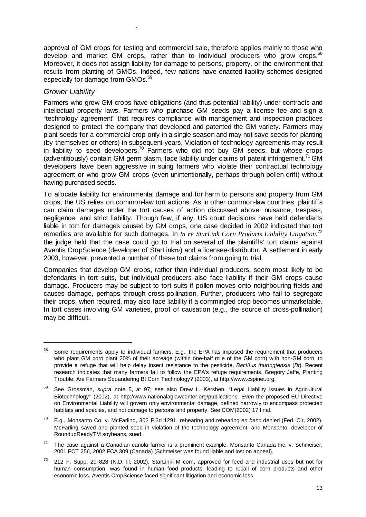approval of GM crops for testing and commercial sale, therefore applies mainly to those who develop and market GM crops, rather than to individual producers who grow crops.<sup>68</sup> Moreover, it does not assign liability for damage to persons, property, or the environment that results from planting of GMOs. Indeed, few nations have enacted liability schemes designed especially for damage from GMOs.<sup>69</sup>

### *Grower Liability*

.

Farmers who grow GM crops have obligations (and thus potential liability) under contracts and intellectual property laws. Farmers who purchase GM seeds pay a license fee and sign a "technology agreement" that requires compliance with management and inspection practices designed to protect the company that developed and patented the GM variety. Farmers may plant seeds for a commercial crop only in a single season and may not save seeds for planting (by themselves or others) in subsequent years. Violation of technology agreements may result in liability to seed developers.<sup>70</sup> Farmers who did not buy GM seeds, but whose crops (adventitiously) contain GM germ plasm, face liability under claims of patent infringement.<sup>71</sup> GM developers have been aggressive in suing farmers who violate their contractual technology agreement or who grow GM crops (even unintentionally, perhaps through pollen drift) without having purchased seeds.

To allocate liability for environmental damage and for harm to persons and property from GM crops, the US relies on common-law tort actions. As in other common-law countries, plaintiffs can claim damages under the tort causes of action discussed above: nuisance, trespass, negligence, and strict liability. Though few, if any, US court decisions have held defendants liable in tort for damages caused by GM crops, one case decided in 2002 indicated that tort remedies are available for such damages. In *In re StarLink Corn Products Liability Litigation*, 72 the judge held that the case could go to trial on several of the plaintiffs' tort claims against Aventis CropScience (developer of StarLinkTM) and a licensee-distributor. A settlement in early 2003, however, prevented a number of these tort claims from going to trial.

Companies that develop GM crops, rather than individual producers, seem most likely to be defendants in tort suits, but individual producers also face liability if their GM crops cause damage. Producers may be subject to tort suits if pollen moves onto neighbouring fields and causes damage, perhaps through cross-pollination. Further, producers who fail to segregate their crops, when required, may also face liability if a commingled crop becomes unmarketable. In tort cases involving GM varieties, proof of causation (e.g., the source of cross-pollination) may be difficult.

<sup>&</sup>lt;sup>68</sup> Some requirements apply to individual farmers. E.g., the EPA has imposed the requirement that producers who plant GM corn plant 20% of their acreage (within one-half mile of the GM corn) with non-GM corn, to provide a refuge that will help delay insect resistance to the pesticide, *Bacillus thuringiensis* (*Bt*). Recent research indicates that many farmers fail to follow the EPA's refuge requirements. Gregory Jaffe, Planting Trouble: Are Farmers Squandering Bt Corn Technology? (2003), at http://www.cspinet.org.

<sup>69</sup> See Grossman, *supra* note 5, at 97; see also Drew L. Kershen, "Legal Liability Issues in Agricultural Biotechnology" (2002), at http://www.nationalaglawcenter.org/publications. Even the proposed EU Directive on Environmental Liability will govern only environmental damage, defined narrowly to encompass protected habitats and species, and not damage to persons and property. See COM(2002) 17 final.

<sup>70</sup> E.g., Monsanto Co. v. McFarling, 302 F.3d 1291, rehearing and rehearing *en banc* denied (Fed. Cir. 2002). McFarling saved and planted seed in violation of the technology agreement, and Monsanto, developer of RoundupReadyTM soybeans, sued.

 $71$  The case against a Canadian canola farmer is a prominent example. Monsanto Canada Inc. v. Schmeiser, 2001 FCT 256, 2002 FCA 309 (Canada) (Schmeiser was found liable and lost on appeal).

<sup>72 212</sup> F. Supp. 2d 828 (N.D. Ill. 2002). StarLinkTM corn, approved for feed and industrial uses but not for human consumption, was found in human food products, leading to recall of corn products and other economic loss. Aventis CropScience faced significant litigation and economic loss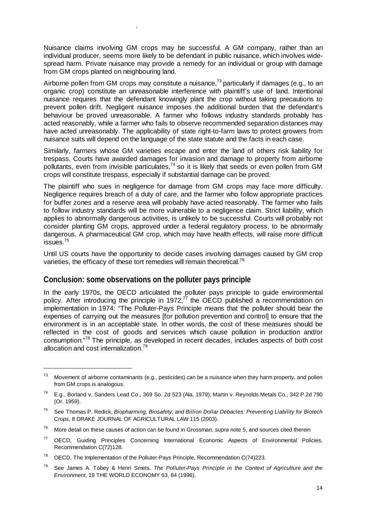Nuisance claims involving GM crops may be successful. A GM company, rather than an individual producer, seems more likely to be defendant in public nuisance, which involves widespread harm. Private nuisance may provide a remedy for an individual or group with damage from GM crops planted on neighbouring land.

.

Airborne pollen from GM crops may constitute a nuisance,  $73$  particularly if damages (e.g., to an organic crop) constitute an unreasonable interference with plaintiff's use of land. Intentional nuisance requires that the defendant knowingly plant the crop without taking precautions to prevent pollen drift. Negligent nuisance imposes the additional burden that the defendant's behaviour be proved unreasonable. A farmer who follows industry standards probably has acted reasonably, while a farmer who fails to observe recommended separation distances may have acted unreasonably. The applicability of state right-to-farm laws to protect growers from nuisance suits will depend on the language of the state statute and the facts in each case.

Similarly, farmers whose GM varieties escape and enter the land of others risk liability for trespass. Courts have awarded damages for invasion and damage to property from airborne pollutants, even from invisible particulates,  $74$  so it is likely that seeds or even pollen from GM crops will constitute trespass, especially if substantial damage can be proved.

The plaintiff who sues in negligence for damage from GM crops may face more difficulty. Negligence requires breach of a duty of care, and the farmer who follow appropriate practices for buffer zones and a reserve area will probably have acted reasonably. The farmer who fails to follow industry standards will be more vulnerable to a negligence claim. Strict liability, which applies to abnormally dangerous activities, is unlikely to be successful. Courts will probably not consider planting GM crops, approved under a federal regulatory process, to be abnormally dangerous. A pharmaceutical GM crop, which may have health effects, will raise more difficult issues.75

Until US courts have the opportunity to decide cases involving damages caused by GM crop varieties, the efficacy of these tort remedies will remain theoretical.<sup>76</sup>

## **Conclusion: some observations on the polluter pays principle**

In the early 1970s, the OECD articulated the polluter pays principle to guide environmental policy. After introducing the principle in 1972,<sup>77</sup> the OECD published a recommendation on implementation in 1974: "The Polluter-Pays Principle means that the polluter should bear the expenses of carrying out the measures [for pollution prevention and control] to ensure that the environment is in an acceptable state. In other words, the cost of these measures should be reflected in the cost of goods and services which cause pollution in production and/or consumption."78 The principle, as developed in recent decades, includes aspects of both cost allocation and cost internalization.<sup>79</sup>

<sup>&</sup>lt;sup>73</sup> Movement of airborne contaminants (e.g., pesticides) can be a nuisance when they harm property, and pollen from GM crops is analogous.

<sup>74</sup> E.g., Borland v. Sanders Lead Co., 369 So. 2d 523 (Ala. 1979); Martin v. Reynolds Metals Co., 342 P.2d 790 (Or. 1959).

<sup>75</sup> See Thomas P. Redick, *Biopharming, Biosafety, and Billion Dollar Debacles: Preventing Liability for Biotech Crops*, 8 DRAKE JOURNAL OF AGRICULTURAL LAW 115 (2003).

<sup>76</sup> More detail on these causes of action can be found in Grossman, *supra* note 5, and sources cited therein

<sup>&</sup>lt;sup>77</sup> OECD, Guiding Principles Concerning International Economic Aspects of Environmental Policies, Recommendation C(72)128.

 $78$  OECD, The Implementation of the Polluter-Pays Principle, Recommendation C(74)223.

<sup>79</sup> See James A. Tobey & Henri Smets, *The Polluter-Pays Principle in the Context of Agriculture and the Environment*, 19 THE WORLD ECONOMY 63, 84 (1996).